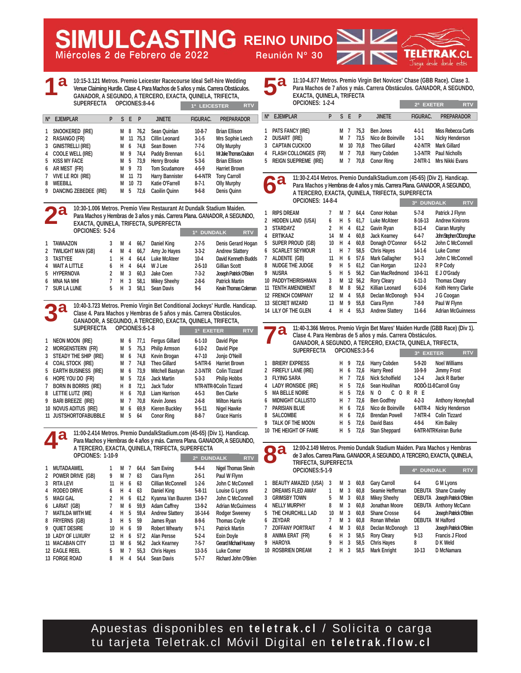**Miércoles 2 de Febrero de 2022 Reunión Nº 30**

**REING REINO UNIDO** 

**10:15-3.121 Metros. Premio Leicester Racecourse Ideal Self-hire Wedding Venue Claiming Hurdle. Clase 4. Para Machos de 5 años y más. Carrera Obstáculos. GANADOR, A SEGUNDO, A TERCERO, EXACTA, QUINELA, TRIFECTA, SUPERFECTA OPCIONES:8-4-6 1ª 1ª LEICESTER RTV**

| $N^{\circ}$ | <b>EJEMPLAR</b>          | P | S. | F  | P    | <b>JINETE</b>          | <b>FIGURAC.</b> | <b>PREPARADOR</b>    |
|-------------|--------------------------|---|----|----|------|------------------------|-----------------|----------------------|
|             | SNOOKERED (IRE)          |   | М  | 8  | 76.2 | Sean Quinlan           | $10-8-7$        | <b>Brian Ellison</b> |
| 2           | <b>RASANGO (FR)</b>      |   | M  | 11 | 75.3 | Cillin Leonard         | $3-1-5$         | Mrs Sophie Leech     |
| 3           | <b>GINISTRELLI (IRE)</b> |   | M  | 6  | 74.8 | Sean Bowen             | $7 - 7 - 6$     | <b>Olly Murphy</b>   |
| 4           | <b>COOLE WELL (IRE)</b>  |   | M  | 9  | 74.4 | Paddy Brennan          | $6 - 1 - 1$     | M.JakeThomasCoulson  |
| 5           | <b>KISS MY FACE</b>      |   | М  | 5  | 73.9 | <b>Henry Brooke</b>    | $5 - 3 - 6$     | <b>Brian Ellison</b> |
| 6           | AR MEST (FR)             |   | М  | 9  | 73   | <b>Tom Scudamore</b>   | $4 - 5 - 9$     | <b>Harriet Brown</b> |
| 7           | VIVE LE ROI (IRE)        |   | М  | 11 | 73   | <b>Harry Bannister</b> | <b>6-4-NTR</b>  | <b>Tony Carroll</b>  |
| 8           | <b>WEEBILL</b>           |   | М  | 10 | 73   | Katie O'Farrell        | $8 - 7 - 1$     | <b>Olly Murphy</b>   |
| 9           | DANCING ZEBEDEE (IRE)    |   | М  | 5  | 72.6 | <b>Caoilin Ouinn</b>   | $9 - 6 - 8$     | Denis Ouinn          |
|             |                          |   |    |    |      |                        |                 |                      |

**10:30-1.006 Metros. Premio View Restaurant At Dundalk Stadium Maiden. Para Machos y Hembras de 3 años y más. Carrera Plana. GANADOR, A SEGUNDO, EXACTA, QUINELA, TRIFECTA, SUPERFECTA OPCIONES: 5-2-6 1 TAWAAZON 3 M 4 66,7 Daniel King 2-7-5 Denis Gerard Hogan 2 TWILIGHT MAN (GB) 3 TASTYEE 1 H 4 64,4 Luke McAteer 10-4 David Kenneth Budds 4 WAIT A LITTLE 6 H 4 64,4 W J Lee 2-5-10 Gillian Scott 5 HYPERNOVA 2 M 3 60,3 Jake Coen 7-3-2 Joseph Patrick O'Brien 6 MNA NA MHI 7 H 3 58,1 Mikey Sheehy 2-8-6 Patrick Martin 7 SUR LA LUNE 5 H 3 58,1 Sean Davis 9-6 Kevin Thomas Coleman 1ª DUNDALK RTV 2ª**

**10:40-3.723 Metros. Premio Virgin Bet Conditional Jockeys' Hurdle. Handicap. Clase 4. Para Machos y Hembras de 5 años y más. Carrera Obstáculos. GANADOR, A SEGUNDO, A TERCERO, EXACTA, QUINELA, TRIFECTA, 3ª**

|   | <b>SUPERFECTA</b>           |   |   | OPCIONES:6-1-8 |                       | 1ª EXETER    |                        | <b>RTV</b> |
|---|-----------------------------|---|---|----------------|-----------------------|--------------|------------------------|------------|
| 1 | <b>NEON MOON (IRE)</b>      | М | 6 | 77.1           | <b>Fergus Gillard</b> | $6 - 1 - 10$ | David Pipe             |            |
| 2 | MORGENSTERN (FR)            | М | 5 | 75,3           | <b>Philip Armson</b>  | $6 - 10 - 2$ | David Pipe             |            |
| 3 | STEADY THE SHIP (IRE)       | М | 6 | 74,8           | Kevin Brogan          | $4 - 7 - 10$ | Jonjo O'Neill          |            |
| 4 | <b>COAL STOCK (IRE)</b>     | М | 7 | 74.8           | <b>Theo Gillard</b>   | 5-NTR-6      | <b>Harriet Brown</b>   |            |
| 5 | <b>EARTH BUSINESS (IRE)</b> | М | 6 | 73.9           | Mitchell Bastyan      | $2-3-NTR$    | <b>Colin Tizzard</b>   |            |
| 6 | HOPE YOU DO (FR)            | М | 5 | 72.6           | <b>Jack Martin</b>    | $5 - 3 - 3$  | <b>Philip Hobbs</b>    |            |
| 7 | <b>BORN IN BORRIS (IRE)</b> | н | 8 | 72.1           | <b>Jack Tudor</b>     |              | NTR-NTR-9Colin Tizzard |            |
| 8 | LETTIE LUTZ (IRE)           | н | 6 | 70.8           | <b>Liam Harrison</b>  | $4 - 5 - 3$  | <b>Ben Clarke</b>      |            |
| 9 | <b>BARI BREEZE (IRE)</b>    | М | 7 | 70.8           | <b>Kevin Jones</b>    | $2 - 6 - 8$  | <b>Milton Harris</b>   |            |
|   | 10 NOVUS ADITUS (IRE)       | М | 6 | 69,9           | <b>Kieren Buckley</b> | $9 - 5 - 11$ | Nigel Hawke            |            |
|   | 11 JUSTSHORTOFABUBBLE       | М | 5 | 64             | <b>Conor Ring</b>     | $8 - 8 - 7$  | <b>Grace Harris</b>    |            |

**11:00-2.414 Metros. Premio DundalkStadium.com (45-65) (Div 1). Handicap. Para Machos y Hembras de 4 años y más. Carrera Plana. GANADOR, A SEGUNDO, A TERCERO, EXACTA, QUINELA, TRIFECTA, SUPERFECTA OPCIONES: 1-10-9 4ª**

|    | UFUUNEJ. IIU7            |    |   |   |      |                        | <b>DUNDALK</b><br>2 <sup>a</sup> | <b>RTV</b>                 |
|----|--------------------------|----|---|---|------|------------------------|----------------------------------|----------------------------|
|    | <b>MUTADAAWEL</b>        |    | М |   | 64.4 | Sam Ewing              | $9 - 4 - 4$                      | <b>Nigel Thomas Slevin</b> |
| 2  | POWER DRIVE (GB)         | 9  | М | 1 | 63   | Ciara Flynn            | $2 - 5 - 1$                      | Paul W Flynn               |
|    | <b>RITA LEVI</b>         | 11 | н | 6 | 63   | Cillian McConnell      | $1-2-6$                          | John C McConnell           |
| 4  | <b>RODEO DRIVE</b>       | 6  | н | 4 | 63   | Daniel King            | $5 - 8 - 11$                     | Louise G Lyons             |
| 5  | <b>MAGI GAL</b>          | 2  | н | 6 | 61.2 | Kyanna Van Buuren      | $13-9-7$                         | John C McConnell           |
| 6  | LARIAT (GB)              | 7  | М | 6 | 59.9 | <b>Adam Caffrey</b>    | $13-9-2$                         | <b>Adrian McGuinness</b>   |
|    | <b>MATILDA WITH ME</b>   | 4  | н | 5 | 59.4 | <b>Andrew Slattery</b> | $16 - 14 - 6$                    | <b>Rodger Sweeney</b>      |
| 8  | <b>FRYERNS (GB)</b>      | 3  | н | 5 | 59   | James Ryan             | $8-9-6$                          | <b>Thomas Coyle</b>        |
| q  | <b>OUIET DESIRE</b>      | 10 | н | 6 | 59   | <b>Robert Whearty</b>  | $9 - 7 - 1$                      | <b>Patrick Martin</b>      |
|    | <b>10 LADY OF LUXURY</b> | 12 | н | 6 | 57.2 | <b>Alan Persse</b>     | $5-2-4$                          | <b>Eoin Doyle</b>          |
| 11 | <b>MACABAN CITY</b>      | 13 | M | 6 | 56.2 | <b>Jack Kearney</b>    | $7 - 5 - 7$                      | Gerard Michael Hussey      |
|    | <b>12 EAGLE REEL</b>     | 5  | М | 7 | 55.3 | <b>Chris Hayes</b>     | $13 - 3 - 5$                     | Luke Comer                 |
|    | 13 FORGE ROAD            | 8  | н | 4 | 54.4 | <b>Sean Davis</b>      | $5 - 7 - 7$                      | Richard John O'Brien       |

**11:10-4.877 Metros. Premio Virgin Bet Novices' Chase (GBB Race). Clase 3. Para Machos de 7 años y más. Carrera Obstáculos. GANADOR, A SEGUNDO, EXACTA, QUINELA, TRIFECTA 5ª**

|             | <b>OPCIONES: 1-2-4</b> |     |     |           |                     | 2ª EXETER       | <b>RTV</b>                 |
|-------------|------------------------|-----|-----|-----------|---------------------|-----------------|----------------------------|
| $N^{\circ}$ | <b>EJEMPLAR</b>        |     | SE. | - P       | <b>JINETE</b>       | <b>FIGURAC.</b> | <b>PREPARADOR</b>          |
|             | 1 PATS FANCY (IRE)     | M 7 |     | 75.3      | <b>Ben Jones</b>    | $4 - 1 - 1$     | <b>Miss Rebecca Curtis</b> |
| 2           | DUSART (IRE)           | M 7 |     | 73.5      | Nico de Boinville   | $1 - 3 - 1$     | <b>Nicky Henderson</b>     |
| 3           | <b>CAPTAIN CUCKOO</b>  |     |     | M 10 70.8 | <b>Theo Gillard</b> | 4-2-NTR         | <b>Mark Gillard</b>        |
|             | 4 FLASH COLLONGES (FR) | M 7 |     | 70,8      | <b>Harry Cobden</b> |                 | 1-3-NTR Paul Nicholls      |
|             | 5 REIGN SUEPREME (IRE) | M 7 |     | 70.8      | <b>Conor Ring</b>   |                 | 2-NTR-1 Mrs Nikki Evans    |

**11:30-2.414 Metros. Premio DundalkStadium.com (45-65) (Div 2). Handicap. 6ª**

**Para Machos y Hembras de 4 años y más. Carrera Plana. GANADOR, A SEGUNDO, A TERCERO, EXACTA, QUINELA, TRIFECTA, SUPERFECTA**

|   | OPCIONES: 14-8-4           |    |   |    |      |                        | <b>DUNDALK</b><br>3 <sup>a</sup> | <b>RTV</b>               |
|---|----------------------------|----|---|----|------|------------------------|----------------------------------|--------------------------|
| 1 | <b>RIPS DREAM</b>          |    | м | 7  | 64.4 | Conor Hoban            | $5 - 7 - 8$                      | Patrick J Flynn          |
| 2 | <b>HIDDEN LAND (USA)</b>   | 6  | н | 5  | 61.7 | <b>Luke McAteer</b>    | $8-16-13$                        | <b>Andrew Kinirons</b>   |
| 3 | <b>STARDAYZ</b>            | 2  | н | 4  | 61.2 | Gavin Ryan             | $8-11-4$                         | <b>Ciaran Murphy</b>     |
| 4 | <b>ERTIKAAZ</b>            | 14 | м | 4  | 60.8 | <b>Jack Kearney</b>    | $6 - 4 - 7$                      | John Stephen ODonoghue   |
| 5 | SUPER PROUD (GB)           | 10 | н | 4  | 60.8 | Donagh O'Connor        | $6 - 5 - 12$                     | John C McConnell         |
| 6 | <b>SCARLET SEYMOUR</b>     | 1  | н | 7  | 58.5 | <b>Chris Hayes</b>     | $14-1-6$                         | Luke Comer               |
| 7 | ALDENTE (GB)               | 11 | н | 6  | 57.6 | Mark Gallagher         | $9 - 1 - 3$                      | John C McConnell         |
| 8 | <b>NUDGE THE JUDGE</b>     | 9  | н | 5  | 61.2 | Cian Horgan            | $12 - 2 - 3$                     | R P Cody                 |
| 9 | <b>NUSRA</b>               | 5  | н | 5  | 56.2 | Cian MacRedmond        | $10-6-11$                        | E J O'Grady              |
|   | 10 PADDYTHEIRISHMAN        | 3  | M | 12 | 56,2 | <b>Rory Cleary</b>     | $6 - 11 - 3$                     | <b>Thomas Cleary</b>     |
|   | <b>11 TENTH AMENDMENT</b>  | 8  | М | 8  | 56.2 | <b>Killian Leonard</b> | $6 - 10 - 6$                     | Keith Henry Clarke       |
|   | <b>12 FRENCH COMPANY</b>   | 12 | M | 4  | 55.8 | Declan McDonogh        | $9 - 3 - 4$                      | J G Coogan               |
|   | <b>13 SECRET WIZARD</b>    | 13 | М | 9  | 55.8 | Ciara Flynn            | $7-8-9$                          | Paul W Flynn             |
|   | <b>14 LILY OF THE GLEN</b> | 4  | н | 4  | 55.3 | <b>Andrew Slattery</b> | $11-6-6$                         | <b>Adrian McGuinness</b> |
|   |                            |    |   |    |      |                        |                                  |                          |

|                | $\bullet$                 |   |   |                | Clase 4. Para Hembras de 5 años y más. Carrera Obstáculos. | 11:40-3.366 Metros. Premio Virgin Bet Mares' Maiden Hurdle (GBB Race) (Div 1).<br>GANADOR, A SEGUNDO, A TERCERO, EXACTA, QUINELA, TRIFECTA, |                          |  |  |  |
|----------------|---------------------------|---|---|----------------|------------------------------------------------------------|---------------------------------------------------------------------------------------------------------------------------------------------|--------------------------|--|--|--|
|                | <b>SUPERFECTA</b>         |   |   | OPCIONES:3-5-6 |                                                            | 3ª EXETER                                                                                                                                   | <b>RTV</b>               |  |  |  |
|                | <b>BRIERY EXPRESS</b>     | н | 9 | 72.6           | Harry Cobden                                               | $5-9-20$                                                                                                                                    | <b>Noel Williams</b>     |  |  |  |
| $\overline{2}$ | <b>FIREFLY LANE (IRE)</b> | Н | 6 | 72.6           | <b>Harry Reed</b>                                          | $10-9-9$                                                                                                                                    | <b>Jimmy Frost</b>       |  |  |  |
| 3              | <b>FLYING SARA</b>        | Н |   | 72.6           | <b>Nick Scholfield</b>                                     | $1-2-4$                                                                                                                                     | Jack R Barber            |  |  |  |
| 4              | LADY IRONSIDE (IRE)       | н | 5 | 72.6           | Sean Houlihan                                              |                                                                                                                                             | RODÓ-11-8 Carroll Gray   |  |  |  |
| 5              | <b>MA BELLE NOIRE</b>     | н | 5 | 72.6           | 0 R<br>C.<br>- 0<br>N                                      | R E                                                                                                                                         |                          |  |  |  |
| 6              | <b>MIDNIGHT CALLISTO</b>  | н | 7 | 72.6           | <b>Ben Godfrey</b>                                         | $4 - 2 - 3$                                                                                                                                 | <b>Anthony Honeyball</b> |  |  |  |
| 7              | <b>PARISIAN BLUE</b>      | н | 6 | 72.6           | Nico de Boinville                                          | 6-NTR-4                                                                                                                                     | <b>Nicky Henderson</b>   |  |  |  |
| 8              | <b>SALCOMBE</b>           | н | 6 | 72.6           | <b>Brendan Powell</b>                                      | 7-NTR-4                                                                                                                                     | <b>Colin Tizzard</b>     |  |  |  |
| 9              | TALK OF THE MOON          | н | 5 | 72.6           | David Bass                                                 | $4-9-6$                                                                                                                                     | <b>Kim Bailey</b>        |  |  |  |
|                | 10 THE HEIGHT OF FAME     | н | 5 | 72.6           | <b>Stan Sheppard</b>                                       |                                                                                                                                             | 6-NTR-NTRKeiran Burke    |  |  |  |



|   | 1 BEAUTY AMAZED (USA)    | 3  | M 3            |     | 60,8 | <b>Gary Carroll</b> | $6-4$         | G M Lyons                     |
|---|--------------------------|----|----------------|-----|------|---------------------|---------------|-------------------------------|
|   | 2 DREAMS FLED AWAY       |    | м              | 3   | 60.8 | Seamie Heffernan    |               | <b>DEBUTA</b> Shane Crawley   |
| 3 | <b>GRIMSBY TOWN</b>      | 5  | М              | - 3 | 60,8 | <b>Mikey Sheehy</b> |               | DEBUTA Joseph Patrick O'Brien |
|   | <b>4 NELLY MURPHY</b>    | 8  | M <sub>3</sub> |     | 60,8 | Jonathan Moore      |               | <b>DEBUTA Anthony McCann</b>  |
|   | 5 THE CHURCHILL LAD      | 10 | M              | 3   | 60.8 | <b>Shane Crosse</b> | $6-6$         | Joseph Patrick O'Brien        |
|   | 6 ZEYDAR                 |    | м              | 3   | 60.8 | Ronan Whelan        | <b>DEBUTA</b> | <b>M</b> Halford              |
|   | 7 ZOFFANY PORTRAIT       | 4  | м              | - 3 | 60.8 | Declan McDonogh     | 13            | Joseph Patrick O'Brien        |
|   | 8 ANIMA ERAT (FR)        | 6  | H 3            |     | 58,5 | <b>Rory Cleary</b>  | $9-13$        | <b>Francis J Flood</b>        |
|   | 9 HAROYA                 | 9  | н.             | -3  | 58,5 | <b>Chris Hayes</b>  | 8             | D K Weld                      |
|   | <b>10 ROSBRIEN DREAM</b> | 2  | H 3            |     | 58.5 | Mark Enright        | $10-13$       | D McNamara                    |

Apuestas disponibles en **teletrak.cl** / Solicita o carga tu tarjeta Teletrak.cl Móvil Digital en **teletrak.flow.cl**